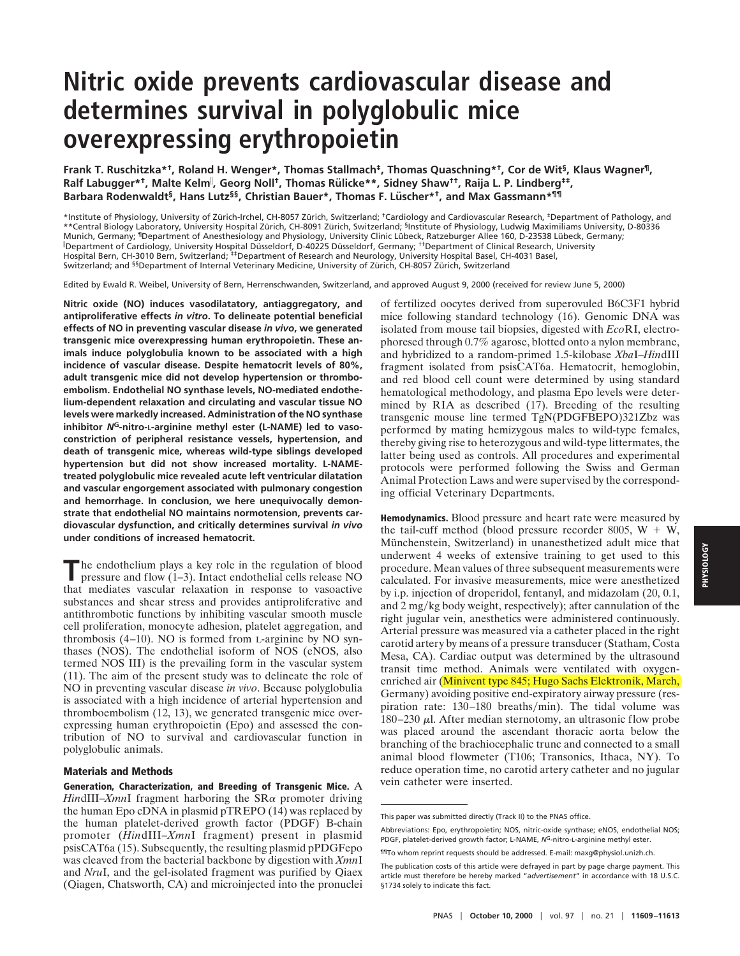## **Nitric oxide prevents cardiovascular disease and determines survival in polyglobulic mice overexpressing erythropoietin**

**Frank T. Ruschitzka\*†, Roland H. Wenger\*, Thomas Stallmach‡, Thomas Quaschning\*†, Cor de Wit§, Klaus Wagner¶, Ralf Labugger\*†, Malte Kelm**<sup>i</sup> **, Georg Noll†, Thomas Ru¨ licke\*\*, Sidney Shaw††, Raija L. P. Lindberg‡‡, Barbara Rodenwaldt§, Hans Lutz§§, Christian Bauer\*, Thomas F. Lu¨ scher\*†, and Max Gassmann\*¶¶**

\*Institute of Physiology, University of Zu¨ rich-Irchel, CH-8057 Zu¨ rich, Switzerland; †Cardiology and Cardiovascular Research, ‡Department of Pathology, and \*\*Central Biology Laboratory, University Hospital Zürich, CH-8091 Zürich, Switzerland; <sup>§</sup>Institute of Physiology, Ludwig Maximiliams University, D-80336 Munich, Germany; 『Department of Anesthesiology and Physiology, University Clinic Lübeck, Ratzeburger Allee 160, D-23538 Lübeck, Germany;<br>『Department of Cardiology, University Hospital Düsseldorf, D-40225 Düsseldorf, German Hospital Bern, CH-3010 Bern, Switzerland; ‡‡Department of Research and Neurology, University Hospital Basel, CH-4031 Basel, Switzerland; and <sup>§§</sup>Department of Internal Veterinary Medicine, University of Zürich, CH-8057 Zürich, Switzerland

Edited by Ewald R. Weibel, University of Bern, Herrenschwanden, Switzerland, and approved August 9, 2000 (received for review June 5, 2000)

**Nitric oxide (NO) induces vasodilatatory, antiaggregatory, and antiproliferative effects** *in vitro***. To delineate potential beneficial effects of NO in preventing vascular disease** *in vivo***, we generated transgenic mice overexpressing human erythropoietin. These animals induce polyglobulia known to be associated with a high incidence of vascular disease. Despite hematocrit levels of 80%, adult transgenic mice did not develop hypertension or thromboembolism. Endothelial NO synthase levels, NO-mediated endothelium-dependent relaxation and circulating and vascular tissue NO levels were markedly increased. Administration of the NO synthase inhibitor** *N***G-nitro-L-arginine methyl ester (L-NAME) led to vasoconstriction of peripheral resistance vessels, hypertension, and death of transgenic mice, whereas wild-type siblings developed hypertension but did not show increased mortality. L-NAMEtreated polyglobulic mice revealed acute left ventricular dilatation and vascular engorgement associated with pulmonary congestion and hemorrhage. In conclusion, we here unequivocally demonstrate that endothelial NO maintains normotension, prevents cardiovascular dysfunction, and critically determines survival** *in vivo* **under conditions of increased hematocrit.**

**T**he endothelium plays a key role in the regulation of blood pressure and flow (1–3). Intact endothelial cells release NO that mediates vascular relaxation in response to vasoactive substances and shear stress and provides antiproliferative and antithrombotic functions by inhibiting vascular smooth muscle cell proliferation, monocyte adhesion, platelet aggregation, and thrombosis (4–10). NO is formed from L-arginine by NO synthases (NOS). The endothelial isoform of NOS (eNOS, also termed NOS III) is the prevailing form in the vascular system (11). The aim of the present study was to delineate the role of NO in preventing vascular disease *in vivo*. Because polyglobulia is associated with a high incidence of arterial hypertension and thromboembolism (12, 13), we generated transgenic mice overexpressing human erythropoietin (Epo) and assessed the contribution of NO to survival and cardiovascular function in polyglobulic animals.

## **Materials and Methods**

**Generation, Characterization, and Breeding of Transgenic Mice.** A *HindIII–XmnI* fragment harboring the  $SR\alpha$  promoter driving the human Epo cDNA in plasmid pTREPO (14) was replaced by the human platelet-derived growth factor (PDGF) B-chain promoter (*Hin*dIII–*Xmn*I fragment) present in plasmid psisCAT6a (15). Subsequently, the resulting plasmid pPDGFepo was cleaved from the bacterial backbone by digestion with *Xmn*I and *Nru*I, and the gel-isolated fragment was purified by Qiaex (Qiagen, Chatsworth, CA) and microinjected into the pronuclei

of fertilized oocytes derived from superovuled B6C3F1 hybrid mice following standard technology (16). Genomic DNA was isolated from mouse tail biopsies, digested with *Eco*RI, electrophoresed through 0.7% agarose, blotted onto a nylon membrane, and hybridized to a random-primed 1.5-kilobase *Xba*I–*Hin*dIII fragment isolated from psisCAT6a. Hematocrit, hemoglobin, and red blood cell count were determined by using standard hematological methodology, and plasma Epo levels were determined by RIA as described (17). Breeding of the resulting transgenic mouse line termed TgN(PDGFBEPO)321Zbz was performed by mating hemizygous males to wild-type females, thereby giving rise to heterozygous and wild-type littermates, the latter being used as controls. All procedures and experimental protocols were performed following the Swiss and German Animal Protection Laws and were supervised by the corresponding official Veterinary Departments.

**Hemodynamics.** Blood pressure and heart rate were measured by the tail-cuff method (blood pressure recorder 8005,  $W + W$ , Münchenstein, Switzerland) in unanesthetized adult mice that underwent 4 weeks of extensive training to get used to this procedure. Mean values of three subsequent measurements were calculated. For invasive measurements, mice were anesthetized by i.p. injection of droperidol, fentanyl, and midazolam (20, 0.1, and 2 mg/kg body weight, respectively); after cannulation of the right jugular vein, anesthetics were administered continuously. Arterial pressure was measured via a catheter placed in the right carotid artery by means of a pressure transducer (Statham, Costa Mesa, CA). Cardiac output was determined by the ultrasound transit time method. Animals were ventilated with oxygenenriched air (Minivent type 845; Hugo Sachs Elektronik, March, Germany) avoiding positive end-expiratory airway pressure (respiration rate: 130-180 breaths/min). The tidal volume was 180–230 <sup>m</sup>l. After median sternotomy, an ultrasonic flow probe was placed around the ascendant thoracic aorta below the branching of the brachiocephalic trunc and connected to a small animal blood flowmeter (T106; Transonics, Ithaca, NY). To reduce operation time, no carotid artery catheter and no jugular vein catheter were inserted.

This paper was submitted directly (Track II) to the PNAS office.

Abbreviations: Epo, erythropoietin; NOS, nitric-oxide synthase; eNOS, endothelial NOS; PDGF, platelet-derived growth factor; L-NAME, *N*G-nitro-L-arginine methyl ester.

<sup>¶¶</sup>To whom reprint requests should be addressed. E-mail: maxg@physiol.unizh.ch.

The publication costs of this article were defrayed in part by page charge payment. This article must therefore be hereby marked "*advertisement*" in accordance with 18 U.S.C. §1734 solely to indicate this fact.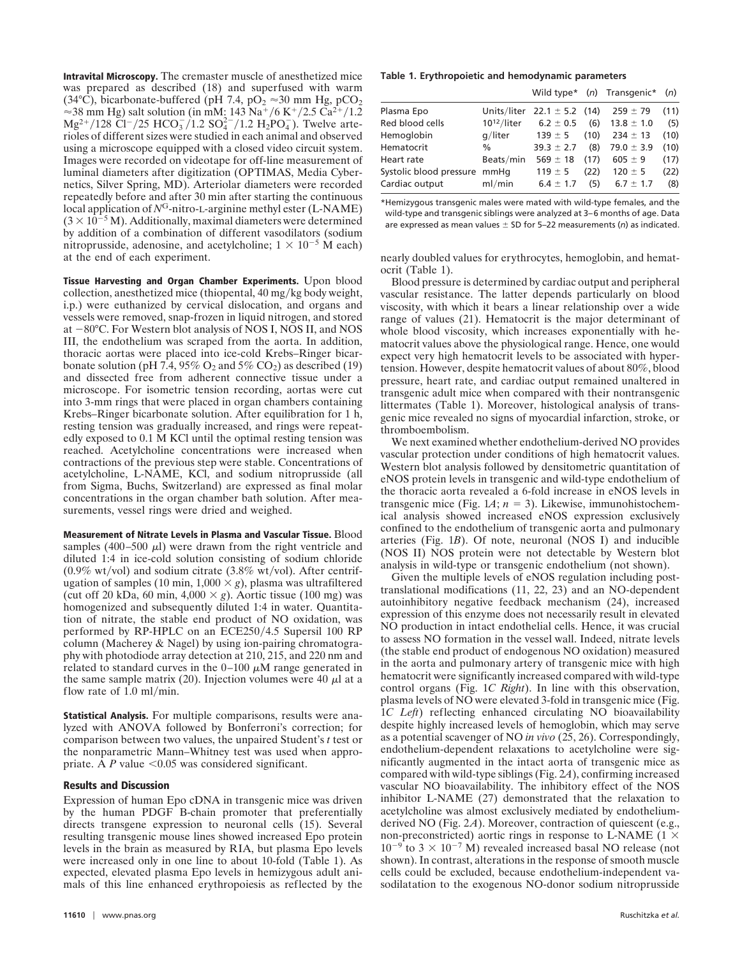**Intravital Microscopy.** The cremaster muscle of anesthetized mice was prepared as described (18) and superfused with warm (34°C), bicarbonate-buffered (pH 7.4,  $pO<sub>2</sub> \approx 30$  mm Hg,  $pCO<sub>2</sub>$  $\approx$  38 mm Hg) salt solution (in mM: 143 Na<sup>+</sup>/6 K<sup>+</sup>/2.5 Ca<sup>2+</sup>/1.2  $Mg^{2+}/128 \text{ Cl}^{-}/25 \text{ HCO}_{3}^{-}/1.2 \text{ SO}_{4}^{2-}/1.2 \text{ H}_{2}\text{PO}_{4}^{-}$ ). Twelve arterioles of different sizes were studied in each animal and observed using a microscope equipped with a closed video circuit system. Images were recorded on videotape for off-line measurement of luminal diameters after digitization (OPTIMAS, Media Cybernetics, Silver Spring, MD). Arteriolar diameters were recorded repeatedly before and after 30 min after starting the continuous local application of  $N<sup>G</sup>$ -nitro-L-arginine methyl ester (L-NAME)  $(3 \times 10^{-5}$  M). Additionally, maximal diameters were determined by addition of a combination of different vasodilators (sodium nitroprusside, adenosine, and acetylcholine;  $1 \times 10^{-5}$  M each) at the end of each experiment.

**Tissue Harvesting and Organ Chamber Experiments.** Upon blood collection, anesthetized mice (thiopental, 40 mg/kg body weight, i.p.) were euthanized by cervical dislocation, and organs and vessels were removed, snap-frozen in liquid nitrogen, and stored at  $-80^{\circ}$ C. For Western blot analysis of NOS I, NOS II, and NOS III, the endothelium was scraped from the aorta. In addition, thoracic aortas were placed into ice-cold Krebs–Ringer bicarbonate solution (pH 7.4, 95%  $O_2$  and 5%  $CO_2$ ) as described (19) and dissected free from adherent connective tissue under a microscope. For isometric tension recording, aortas were cut into 3-mm rings that were placed in organ chambers containing Krebs–Ringer bicarbonate solution. After equilibration for 1 h, resting tension was gradually increased, and rings were repeatedly exposed to 0.1 M KCl until the optimal resting tension was reached. Acetylcholine concentrations were increased when contractions of the previous step were stable. Concentrations of acetylcholine, L-NAME, KCl, and sodium nitroprusside (all from Sigma, Buchs, Switzerland) are expressed as final molar concentrations in the organ chamber bath solution. After measurements, vessel rings were dried and weighed.

**Measurement of Nitrate Levels in Plasma and Vascular Tissue.** Blood samples (400–500  $\mu$ ) were drawn from the right ventricle and diluted 1:4 in ice-cold solution consisting of sodium chloride (0.9% wt/vol) and sodium citrate (3.8% wt/vol). After centrifugation of samples (10 min,  $1,000 \times g$ ), plasma was ultrafiltered (cut off 20 kDa, 60 min,  $4,000 \times g$ ). Aortic tissue (100 mg) was homogenized and subsequently diluted 1:4 in water. Quantitation of nitrate, the stable end product of NO oxidation, was performed by RP-HPLC on an ECE250/4.5 Supersil 100 RP column (Macherey & Nagel) by using ion-pairing chromatography with photodiode array detection at 210, 215, and 220 nm and related to standard curves in the  $0-100 \mu M$  range generated in the same sample matrix (20). Injection volumes were 40  $\mu$ l at a flow rate of  $1.0$  ml/min.

**Statistical Analysis.** For multiple comparisons, results were analyzed with ANOVA followed by Bonferroni's correction; for comparison between two values, the unpaired Student's *t* test or the nonparametric Mann–Whitney test was used when appropriate. A  $P$  value <0.05 was considered significant.

## **Results and Discussion**

Expression of human Epo cDNA in transgenic mice was driven by the human PDGF B-chain promoter that preferentially directs transgene expression to neuronal cells (15). Several resulting transgenic mouse lines showed increased Epo protein levels in the brain as measured by RIA, but plasma Epo levels were increased only in one line to about 10-fold (Table 1). As expected, elevated plasma Epo levels in hemizygous adult animals of this line enhanced erythropoiesis as reflected by the

## **Table 1. Erythropoietic and hemodynamic parameters**

|                         |                  |                     |      | Wild type* $(n)$ Transgenic* | (n)  |
|-------------------------|------------------|---------------------|------|------------------------------|------|
| Plasma Epo              | Units/liter      | $22.1 \pm 5.2$ (14) |      | $259 \pm 79$                 | (11) |
| Red blood cells         | $10^{12}/$ liter | $6.2 \pm 0.5$       | (6)  | $13.8 \pm 1.0$               | (5)  |
| Hemoglobin              | $q/l$ iter       | $139 \pm 5$         | (10) | $234 \pm 13$                 | (10) |
| Hematocrit              | $\%$             | $39.3 \pm 2.7$      | (8)  | $79.0 \pm 3.9$               | (10) |
| Heart rate              | Beats/min        | 569 $\pm$ 18        | (17) | $605 \pm 9$                  | (17) |
| Systolic blood pressure | mmHa             | $119 \pm 5$         | (22) | $120 \pm 5$                  | (22) |
| Cardiac output          | ml/min           | $6.4 \pm 1.7$       | (5)  | $6.7 \pm 1.7$                | (8)  |

\*Hemizygous transgenic males were mated with wild-type females, and the wild-type and transgenic siblings were analyzed at 3–6 months of age. Data are expressed as mean values  $\pm$  SD for 5–22 measurements ( $n$ ) as indicated.

nearly doubled values for erythrocytes, hemoglobin, and hematocrit (Table 1).

Blood pressure is determined by cardiac output and peripheral vascular resistance. The latter depends particularly on blood viscosity, with which it bears a linear relationship over a wide range of values (21). Hematocrit is the major determinant of whole blood viscosity, which increases exponentially with hematocrit values above the physiological range. Hence, one would expect very high hematocrit levels to be associated with hypertension. However, despite hematocrit values of about 80%, blood pressure, heart rate, and cardiac output remained unaltered in transgenic adult mice when compared with their nontransgenic littermates (Table 1). Moreover, histological analysis of transgenic mice revealed no signs of myocardial infarction, stroke, or thromboembolism.

We next examined whether endothelium-derived NO provides vascular protection under conditions of high hematocrit values. Western blot analysis followed by densitometric quantitation of eNOS protein levels in transgenic and wild-type endothelium of the thoracic aorta revealed a 6-fold increase in eNOS levels in transgenic mice (Fig.  $1A$ ;  $n = 3$ ). Likewise, immunohistochemical analysis showed increased eNOS expression exclusively confined to the endothelium of transgenic aorta and pulmonary arteries (Fig. 1*B*). Of note, neuronal (NOS I) and inducible (NOS II) NOS protein were not detectable by Western blot analysis in wild-type or transgenic endothelium (not shown).

Given the multiple levels of eNOS regulation including posttranslational modifications (11, 22, 23) and an NO-dependent autoinhibitory negative feedback mechanism (24), increased expression of this enzyme does not necessarily result in elevated NO production in intact endothelial cells. Hence, it was crucial to assess NO formation in the vessel wall. Indeed, nitrate levels (the stable end product of endogenous NO oxidation) measured in the aorta and pulmonary artery of transgenic mice with high hematocrit were significantly increased compared with wild-type control organs (Fig. 1*C Right*). In line with this observation, plasma levels of NO were elevated 3-fold in transgenic mice (Fig. 1*C Left*) reflecting enhanced circulating NO bioavailability despite highly increased levels of hemoglobin, which may serve as a potential scavenger of NO *in vivo* (25, 26). Correspondingly, endothelium-dependent relaxations to acetylcholine were significantly augmented in the intact aorta of transgenic mice as compared with wild-type siblings (Fig. 2*A*), confirming increased vascular NO bioavailability. The inhibitory effect of the NOS inhibitor L-NAME (27) demonstrated that the relaxation to acetylcholine was almost exclusively mediated by endotheliumderived NO (Fig. 2*A*). Moreover, contraction of quiescent (e.g., non-preconstricted) aortic rings in response to L-NAME ( $1 \times$  $10^{-9}$  to  $3 \times 10^{-7}$  M) revealed increased basal NO release (not shown). In contrast, alterations in the response of smooth muscle cells could be excluded, because endothelium-independent vasodilatation to the exogenous NO-donor sodium nitroprusside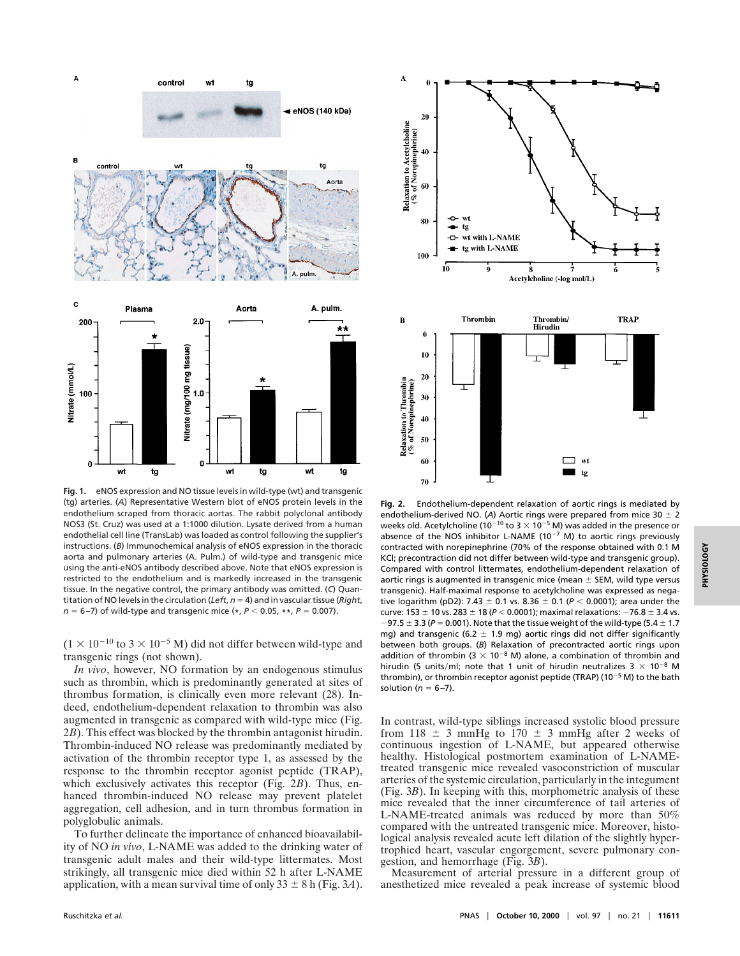

**Fig. 1.** eNOS expression and NO tissue levels in wild-type (wt) and transgenic (tg) arteries. (*A*) Representative Western blot of eNOS protein levels in the endothelium scraped from thoracic aortas. The rabbit polyclonal antibody NOS3 (St. Cruz) was used at a 1:1000 dilution. Lysate derived from a human endothelial cell line (TransLab) was loaded as control following the supplier's instructions. (*B*) Immunochemical analysis of eNOS expression in the thoracic aorta and pulmonary arteries (A. Pulm.) of wild-type and transgenic mice using the anti-eNOS antibody described above. Note that eNOS expression is restricted to the endothelium and is markedly increased in the transgenic tissue. In the negative control, the primary antibody was omitted. (*C*) Quantitation of NO levels in the circulation (*Left*,  $n = 4$ ) and in vascular tissue (*Right*, *n* = 6–7) of wild-type and transgenic mice (\*,  $P$  < 0.05, \*\*,  $P$  = 0.007).

 $(1 \times 10^{-10}$  to 3  $\times$  10<sup>-5</sup> M) did not differ between wild-type and transgenic rings (not shown).

*In vivo*, however, NO formation by an endogenous stimulus such as thrombin, which is predominantly generated at sites of thrombus formation, is clinically even more relevant (28). Indeed, endothelium-dependent relaxation to thrombin was also augmented in transgenic as compared with wild-type mice (Fig. 2*B*). This effect was blocked by the thrombin antagonist hirudin. Thrombin-induced NO release was predominantly mediated by activation of the thrombin receptor type 1, as assessed by the response to the thrombin receptor agonist peptide (TRAP), which exclusively activates this receptor (Fig. 2*B*). Thus, enhanced thrombin-induced NO release may prevent platelet aggregation, cell adhesion, and in turn thrombus formation in polyglobulic animals.

To further delineate the importance of enhanced bioavailability of NO *in vivo*, L-NAME was added to the drinking water of transgenic adult males and their wild-type littermates. Most strikingly, all transgenic mice died within 52 h after L-NAME application, with a mean survival time of only  $33 \pm 8$  h (Fig. 3*A*).



**Fig. 2.** Endothelium-dependent relaxation of aortic rings is mediated by endothelium-derived NO. (A) Aortic rings were prepared from mice 30  $\pm$  2 weeks old. Acetylcholine (10<sup>-10</sup> to 3  $\times$  10<sup>-5</sup> M) was added in the presence or absence of the NOS inhibitor L-NAME (10<sup>-7</sup> M) to aortic rings previously contracted with norepinephrine (70% of the response obtained with 0.1 M KCl; precontraction did not differ between wild-type and transgenic group). Compared with control littermates, endothelium-dependent relaxation of aortic rings is augmented in transgenic mice (mean  $\pm$  SEM, wild type versus transgenic). Half-maximal response to acetylcholine was expressed as negative logarithm (pD2): 7.43  $\pm$  0.1 vs. 8.36  $\pm$  0.1 ( $P$  < 0.0001); area under the curve: 153  $\pm$  10 vs. 283  $\pm$  18 ( $P$  < 0.0001); maximal relaxations: -76.8  $\pm$  3.4 vs.  $-97.5 \pm 3.3$  ( $P = 0.001$ ). Note that the tissue weight of the wild-type (5.4  $\pm$  1.7 mg) and transgenic (6.2  $\pm$  1.9 mg) aortic rings did not differ significantly between both groups. (*B*) Relaxation of precontracted aortic rings upon addition of thrombin (3  $\times$  10<sup>-8</sup> M) alone, a combination of thrombin and hirudin (5 units/ml; note that 1 unit of hirudin neutralizes  $3 \times 10^{-8}$  M thrombin), or thrombin receptor agonist peptide (TRAP) (10<sup>-5</sup> M) to the bath solution ( $n = 6 - 7$ ).

In contrast, wild-type siblings increased systolic blood pressure from 118  $\pm$  3 mmHg to 170  $\pm$  3 mmHg after 2 weeks of continuous ingestion of L-NAME, but appeared otherwise healthy. Histological postmortem examination of L-NAMEtreated transgenic mice revealed vasoconstriction of muscular arteries of the systemic circulation, particularly in the integument (Fig. 3*B*). In keeping with this, morphometric analysis of these mice revealed that the inner circumference of tail arteries of L-NAME-treated animals was reduced by more than 50% compared with the untreated transgenic mice. Moreover, histological analysis revealed acute left dilation of the slightly hypertrophied heart, vascular engorgement, severe pulmonary congestion, and hemorrhage (Fig. 3*B*).

Measurement of arterial pressure in a different group of anesthetized mice revealed a peak increase of systemic blood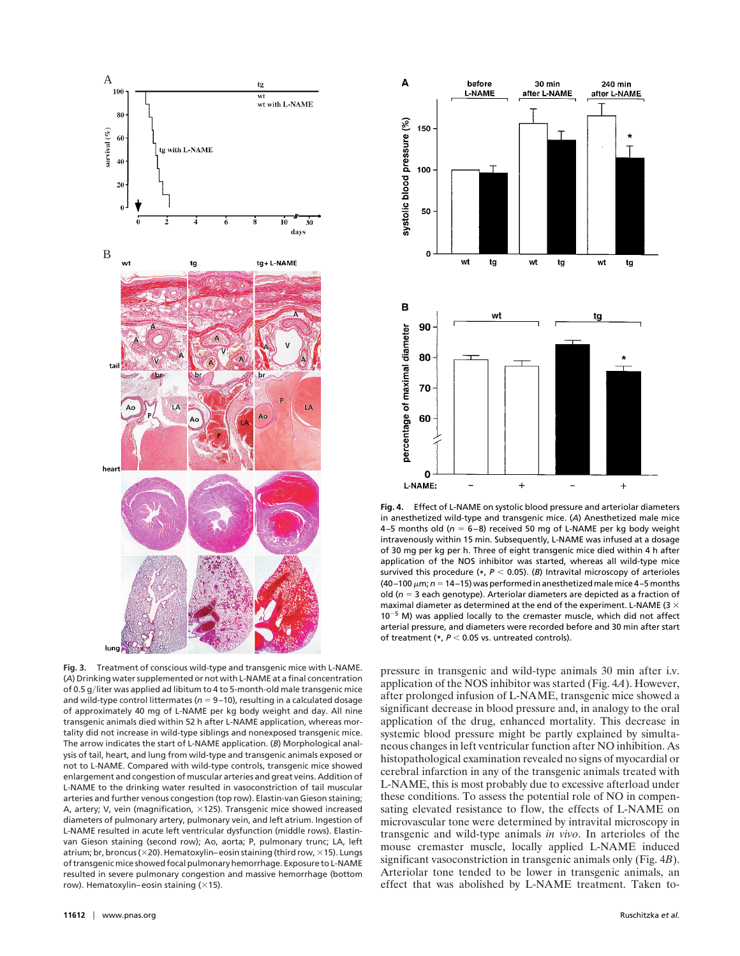

**Fig. 3.** Treatment of conscious wild-type and transgenic mice with L-NAME. (*A*) Drinking water supplemented or not with L-NAME at a final concentration of 0.5 g/liter was applied ad libitum to 4 to 5-month-old male transgenic mice and wild-type control littermates ( $n = 9-10$ ), resulting in a calculated dosage of approximately 40 mg of L-NAME per kg body weight and day. All nine transgenic animals died within 52 h after L-NAME application, whereas mortality did not increase in wild-type siblings and nonexposed transgenic mice. The arrow indicates the start of L-NAME application. (*B*) Morphological analysis of tail, heart, and lung from wild-type and transgenic animals exposed or not to L-NAME. Compared with wild-type controls, transgenic mice showed enlargement and congestion of muscular arteries and great veins. Addition of L-NAME to the drinking water resulted in vasoconstriction of tail muscular arteries and further venous congestion (top row). Elastin-van Gieson staining; A, artery; V, vein (magnification,  $\times$ 125). Transgenic mice showed increased diameters of pulmonary artery, pulmonary vein, and left atrium. Ingestion of L-NAME resulted in acute left ventricular dysfunction (middle rows). Elastinvan Gieson staining (second row); Ao, aorta; P, pulmonary trunc; LA, left atrium; br, broncus ( $\times$ 20). Hematoxylin–eosin staining (third row,  $\times$ 15). Lungs of transgenic mice showed focal pulmonary hemorrhage. Exposure to L-NAME resulted in severe pulmonary congestion and massive hemorrhage (bottom row). Hematoxylin–eosin staining  $(x15)$ .



**Fig. 4.** Effect of L-NAME on systolic blood pressure and arteriolar diameters in anesthetized wild-type and transgenic mice. (*A*) Anesthetized male mice 4–5 months old ( $n = 6-8$ ) received 50 mg of L-NAME per kg body weight intravenously within 15 min. Subsequently, L-NAME was infused at a dosage of 30 mg per kg per h. Three of eight transgenic mice died within 4 h after application of the NOS inhibitor was started, whereas all wild-type mice survived this procedure  $(*, P < 0.05)$ . (*B*) Intravital microscopy of arterioles (40–100  $\mu$ m;  $n = 14$ –15) was performed in anesthetized male mice 4–5 months old ( $n = 3$  each genotype). Arteriolar diameters are depicted as a fraction of maximal diameter as determined at the end of the experiment. L-NAME (3  $\times$  $10^{-5}$  M) was applied locally to the cremaster muscle, which did not affect arterial pressure, and diameters were recorded before and 30 min after start of treatment (\*,  $P < 0.05$  vs. untreated controls).

pressure in transgenic and wild-type animals 30 min after i.v. application of the NOS inhibitor was started (Fig. 4*A*). However, after prolonged infusion of L-NAME, transgenic mice showed a significant decrease in blood pressure and, in analogy to the oral application of the drug, enhanced mortality. This decrease in systemic blood pressure might be partly explained by simultaneous changes in left ventricular function after NO inhibition. As histopathological examination revealed no signs of myocardial or cerebral infarction in any of the transgenic animals treated with L-NAME, this is most probably due to excessive afterload under these conditions. To assess the potential role of NO in compensating elevated resistance to flow, the effects of L-NAME on microvascular tone were determined by intravital microscopy in transgenic and wild-type animals *in vivo*. In arterioles of the mouse cremaster muscle, locally applied L-NAME induced significant vasoconstriction in transgenic animals only (Fig. 4*B*). Arteriolar tone tended to be lower in transgenic animals, an effect that was abolished by L-NAME treatment. Taken to